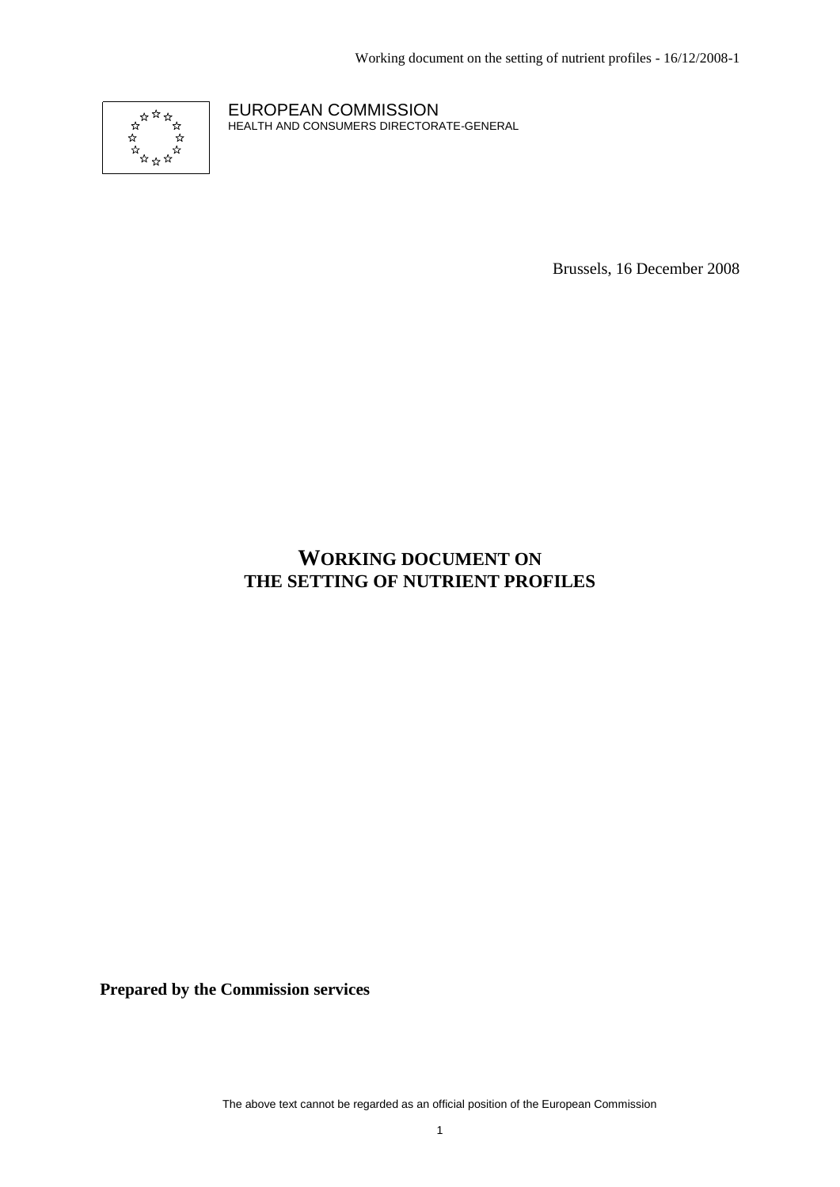Working document on the setting of nutrient profiles - 16/12/2008-1



EUROPEAN COMMISSION HEALTH AND CONSUMERS DIRECTORATE-GENERAL

Brussels, 16 December 2008

## **WORKING DOCUMENT ON THE SETTING OF NUTRIENT PROFILES**

**Prepared by the Commission services**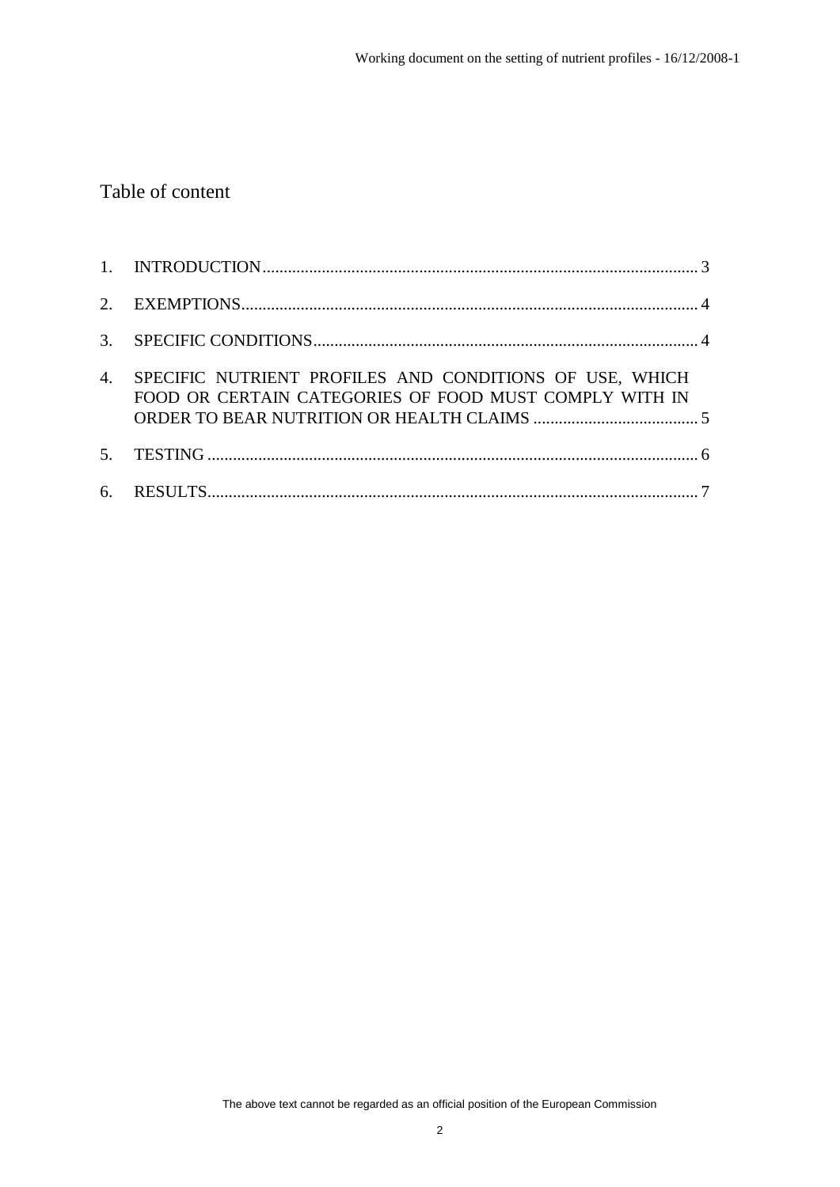# Table of content

| $\overline{4}$ . | SPECIFIC NUTRIENT PROFILES AND CONDITIONS OF USE, WHICH<br>FOOD OR CERTAIN CATEGORIES OF FOOD MUST COMPLY WITH IN |  |
|------------------|-------------------------------------------------------------------------------------------------------------------|--|
|                  |                                                                                                                   |  |
|                  |                                                                                                                   |  |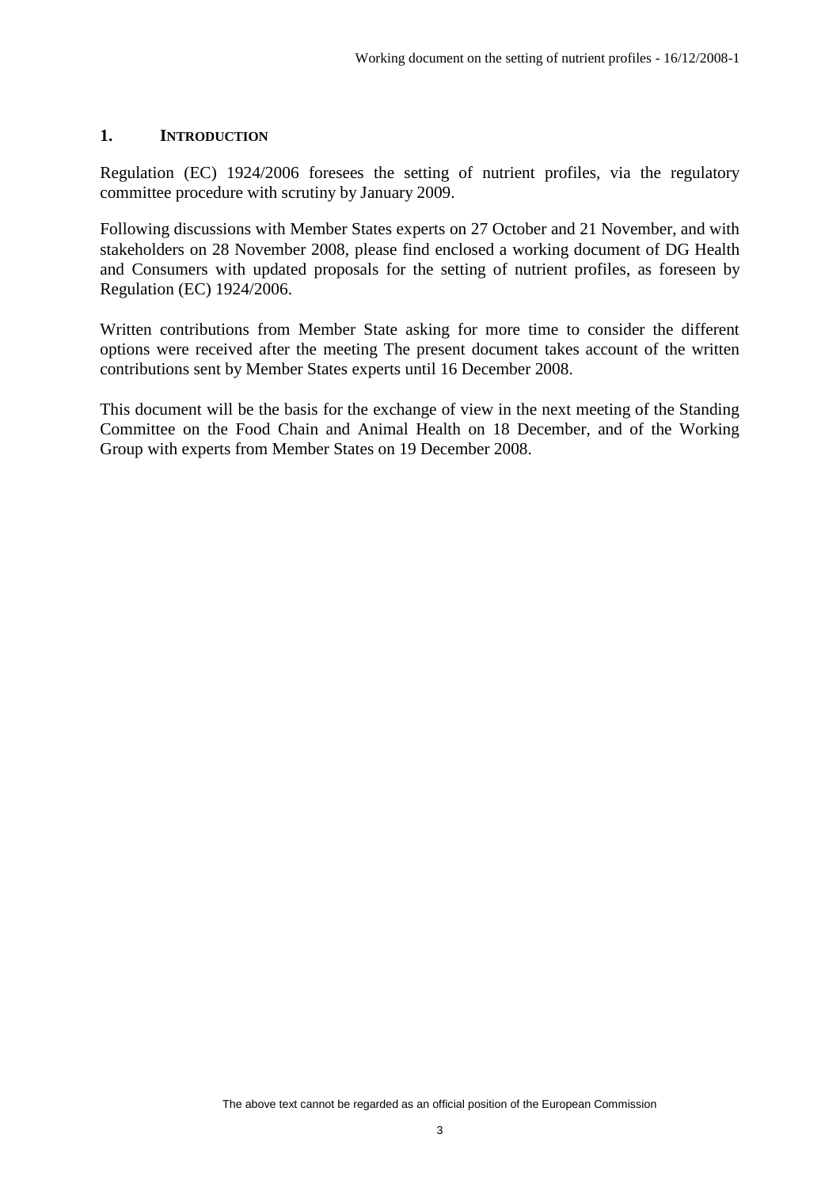#### **1. INTRODUCTION**

Regulation (EC) 1924/2006 foresees the setting of nutrient profiles, via the regulatory committee procedure with scrutiny by January 2009.

Following discussions with Member States experts on 27 October and 21 November, and with stakeholders on 28 November 2008, please find enclosed a working document of DG Health and Consumers with updated proposals for the setting of nutrient profiles, as foreseen by Regulation (EC) 1924/2006.

Written contributions from Member State asking for more time to consider the different options were received after the meeting The present document takes account of the written contributions sent by Member States experts until 16 December 2008.

This document will be the basis for the exchange of view in the next meeting of the Standing Committee on the Food Chain and Animal Health on 18 December, and of the Working Group with experts from Member States on 19 December 2008.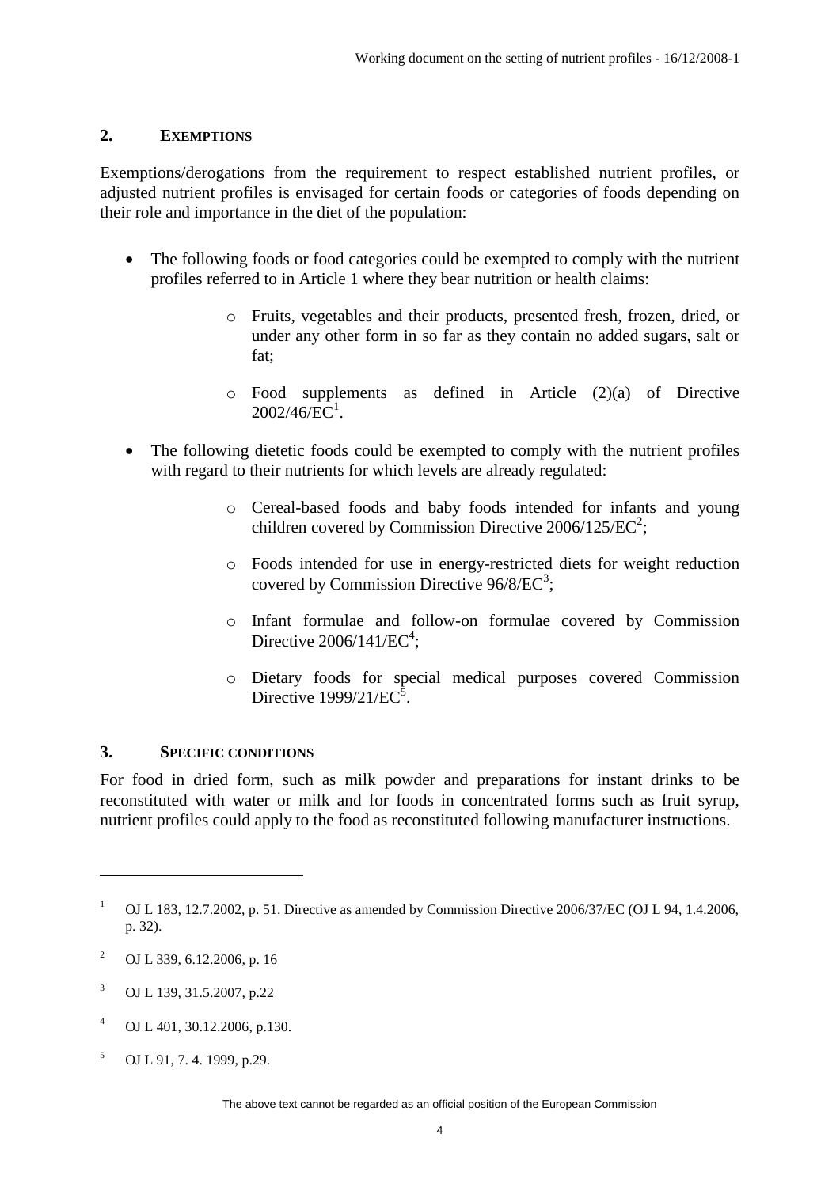#### **2. EXEMPTIONS**

Exemptions/derogations from the requirement to respect established nutrient profiles, or adjusted nutrient profiles is envisaged for certain foods or categories of foods depending on their role and importance in the diet of the population:

- The following foods or food categories could be exempted to comply with the nutrient profiles referred to in Article 1 where they bear nutrition or health claims:
	- o Fruits, vegetables and their products, presented fresh, frozen, dried, or under any other form in so far as they contain no added sugars, salt or fat;
	- o Food supplements as defined in Article (2)(a) of Directive  $2002/46$ /EC<sup>1</sup>.
- The following dietetic foods could be exempted to comply with the nutrient profiles with regard to their nutrients for which levels are already regulated:
	- o Cereal-based foods and baby foods intended for infants and young children covered by Commission Directive 2006/125/EC<sup>2</sup>;
	- o Foods intended for use in energy-restricted diets for weight reduction covered by Commission Directive  $96/8/EC^3$ ;
	- o Infant formulae and follow-on formulae covered by Commission Directive  $2006/141/EC^4$ ;
	- o Dietary foods for special medical purposes covered Commission Directive  $1999/21/EC^5$ .

#### **3. SPECIFIC CONDITIONS**

For food in dried form, such as milk powder and preparations for instant drinks to be reconstituted with water or milk and for foods in concentrated forms such as fruit syrup, nutrient profiles could apply to the food as reconstituted following manufacturer instructions.

 $\overline{a}$ 

- <sup>3</sup> OJ L 139, 31.5.2007, p.22
- <sup>4</sup> OJ L 401, 30.12.2006, p.130.
- $5$  OJ L 91, 7, 4, 1999, p.29.

<sup>&</sup>lt;sup>1</sup> OJ L 183, 12.7.2002, p. 51. Directive as amended by Commission Directive 2006/37/EC (OJ L 94, 1.4.2006, p. 32).

<sup>2</sup> OJ L 339, 6.12.2006, p. 16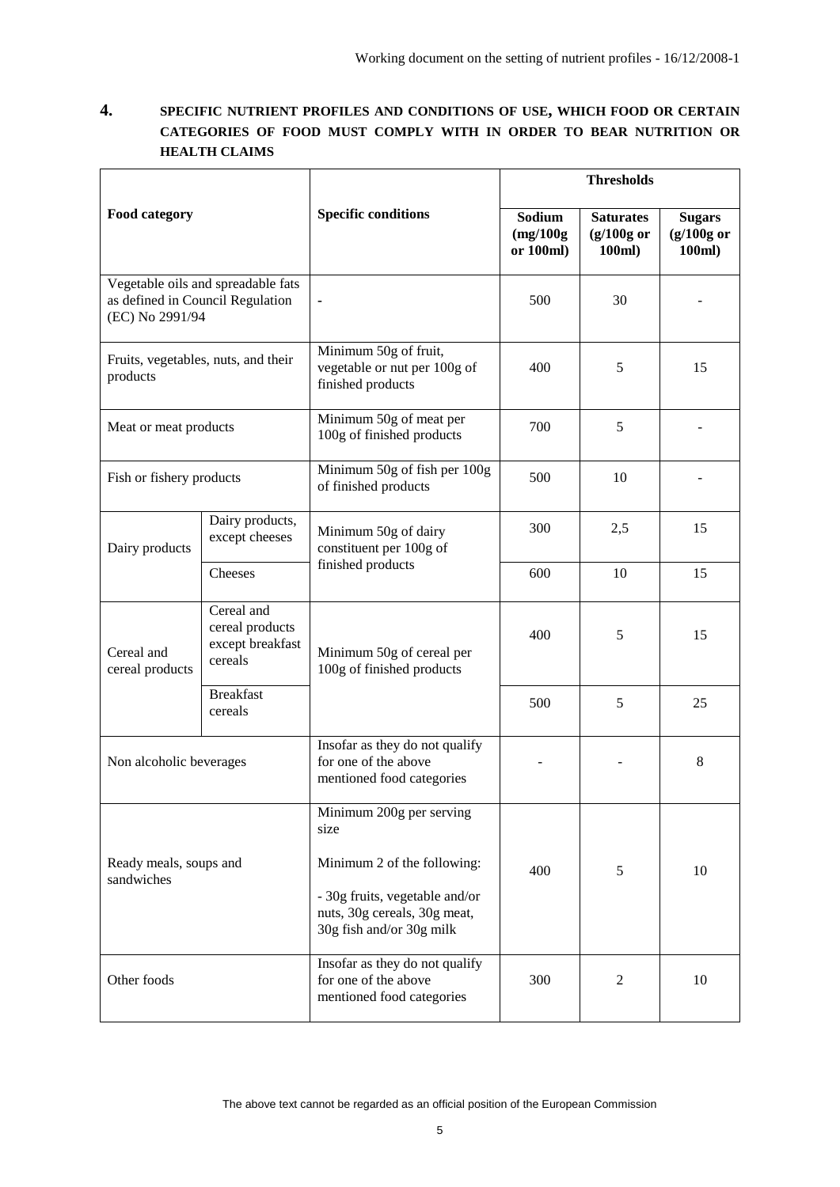### **4. SPECIFIC NUTRIENT PROFILES AND CONDITIONS OF USE, WHICH FOOD OR CERTAIN CATEGORIES OF FOOD MUST COMPLY WITH IN ORDER TO BEAR NUTRITION OR HEALTH CLAIMS**

|                                                     |                                                                                                                        |                                                                                                                           | <b>Thresholds</b>                |                                            |                                         |
|-----------------------------------------------------|------------------------------------------------------------------------------------------------------------------------|---------------------------------------------------------------------------------------------------------------------------|----------------------------------|--------------------------------------------|-----------------------------------------|
| <b>Food category</b>                                |                                                                                                                        | <b>Specific conditions</b>                                                                                                | Sodium<br>(mg/100g)<br>or 100ml) | <b>Saturates</b><br>$(g/100g$ or<br>100ml) | <b>Sugars</b><br>$(g/100g$ or<br>100ml) |
| as defined in Council Regulation<br>(EC) No 2991/94 | Vegetable oils and spreadable fats                                                                                     |                                                                                                                           | 500                              | 30                                         |                                         |
| products                                            | Fruits, vegetables, nuts, and their                                                                                    | Minimum 50g of fruit,<br>vegetable or nut per 100g of<br>finished products                                                | 400                              | 5                                          | 15                                      |
| Meat or meat products                               |                                                                                                                        | Minimum 50g of meat per<br>100g of finished products                                                                      | 700                              | 5                                          |                                         |
| Fish or fishery products                            |                                                                                                                        | Minimum 50g of fish per 100g<br>of finished products                                                                      | 500                              | 10                                         |                                         |
| Dairy products                                      | Dairy products,<br>except cheeses                                                                                      | Minimum 50g of dairy<br>constituent per 100g of<br>finished products                                                      | 300                              | 2,5                                        | 15                                      |
|                                                     | Cheeses                                                                                                                |                                                                                                                           | 600                              | 10                                         | 15                                      |
| Cereal and<br>cereal products                       | Cereal and<br>cereal products<br>except breakfast<br>Minimum 50g of cereal per<br>cereals<br>100g of finished products |                                                                                                                           | 400                              | 5                                          | 15                                      |
|                                                     | <b>Breakfast</b><br>cereals                                                                                            |                                                                                                                           | 500                              | 5                                          | 25                                      |
| Non alcoholic beverages                             |                                                                                                                        | Insofar as they do not qualify<br>for one of the above<br>mentioned food categories                                       |                                  |                                            | 8                                       |
|                                                     |                                                                                                                        | Minimum 200g per serving<br>size                                                                                          |                                  |                                            |                                         |
| Ready meals, soups and<br>sandwiches                |                                                                                                                        | Minimum 2 of the following:<br>- 30g fruits, vegetable and/or<br>nuts, 30g cereals, 30g meat,<br>30g fish and/or 30g milk | 400                              | 5                                          | 10                                      |
| Other foods                                         |                                                                                                                        | Insofar as they do not qualify<br>for one of the above<br>mentioned food categories                                       | 300                              | $\overline{2}$                             | 10                                      |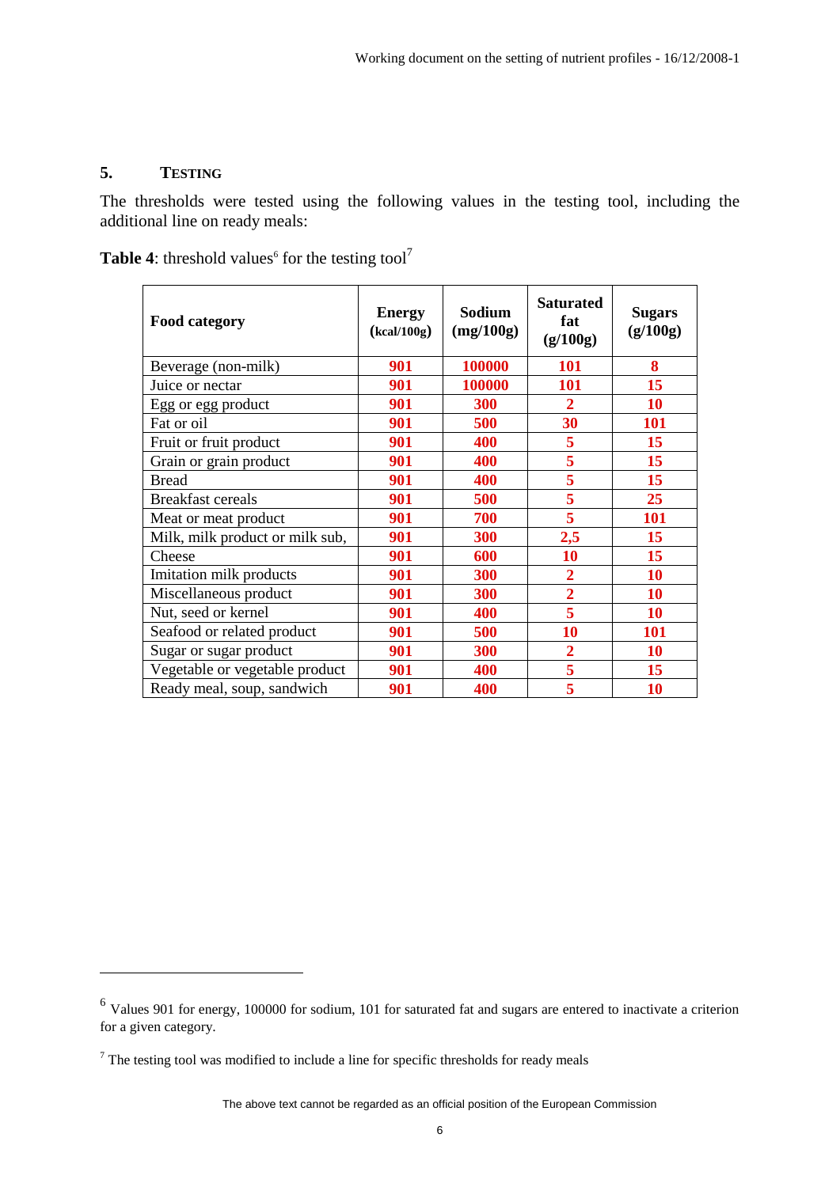## **5. TESTING**

 $\overline{a}$ 

The thresholds were tested using the following values in the testing tool, including the additional line on ready meals:

**Table 4:** threshold values<sup>6</sup> for the testing tool<sup>7</sup>

| <b>Food category</b>            | <b>Energy</b><br>(kcal/100g) | Sodium<br>(mg/100g) | <b>Saturated</b><br>fat<br>(g/100g) | <b>Sugars</b><br>(g/100g) |
|---------------------------------|------------------------------|---------------------|-------------------------------------|---------------------------|
| Beverage (non-milk)             | 901                          | 100000              | 101                                 | 8                         |
| Juice or nectar                 | 901                          | 100000              | 101                                 | 15                        |
| Egg or egg product              | 901                          | 300                 | $\overline{2}$                      | 10                        |
| Fat or oil                      | 901                          | 500                 | 30                                  | <b>101</b>                |
| Fruit or fruit product          | 901                          | 400                 | 5                                   | 15                        |
| Grain or grain product          | 901                          | 400                 | 5                                   | 15                        |
| <b>Bread</b>                    | 901                          | 400                 | 5                                   | 15                        |
| <b>Breakfast cereals</b>        | 901                          | 500                 | 5                                   | 25                        |
| Meat or meat product            | 901                          | 700                 | 5                                   | 101                       |
| Milk, milk product or milk sub, | 901                          | 300                 | 2,5                                 | 15                        |
| Cheese                          | 901                          | 600                 | 10                                  | 15                        |
| Imitation milk products         | 901                          | 300                 | $\overline{2}$                      | <b>10</b>                 |
| Miscellaneous product           | 901                          | 300                 | $\overline{2}$                      | <b>10</b>                 |
| Nut, seed or kernel             | 901                          | 400                 | 5                                   | 10                        |
| Seafood or related product      | 901                          | 500                 | 10                                  | 101                       |
| Sugar or sugar product          | 901                          | 300                 | $\overline{2}$                      | 10                        |
| Vegetable or vegetable product  | 901                          | 400                 | 5                                   | 15                        |
| Ready meal, soup, sandwich      | 901                          | 400                 | 5                                   | 10                        |

 $<sup>6</sup>$  Values 901 for energy, 100000 for sodium, 101 for saturated fat and sugars are entered to inactivate a criterion</sup> for a given category.

 $<sup>7</sup>$  The testing tool was modified to include a line for specific thresholds for ready meals</sup>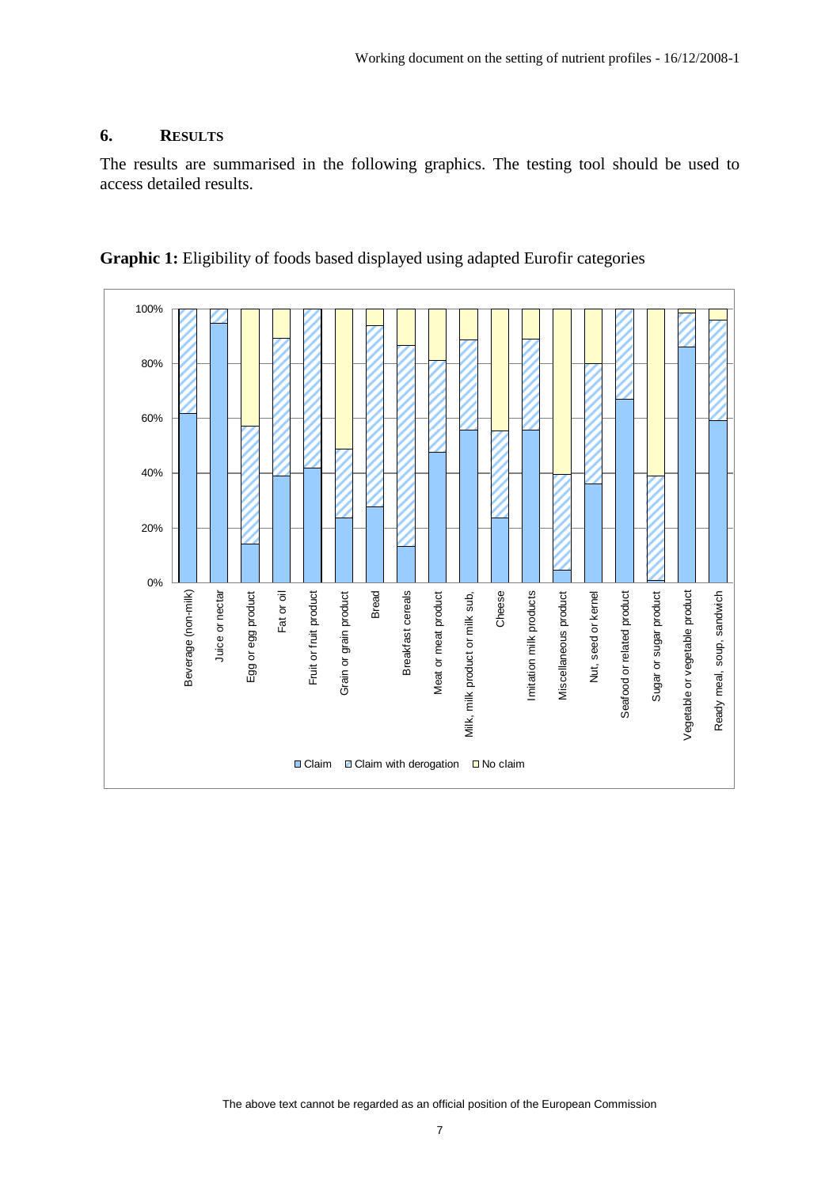#### **6. RESULTS**

The results are summarised in the following graphics. The testing tool should be used to access detailed results.